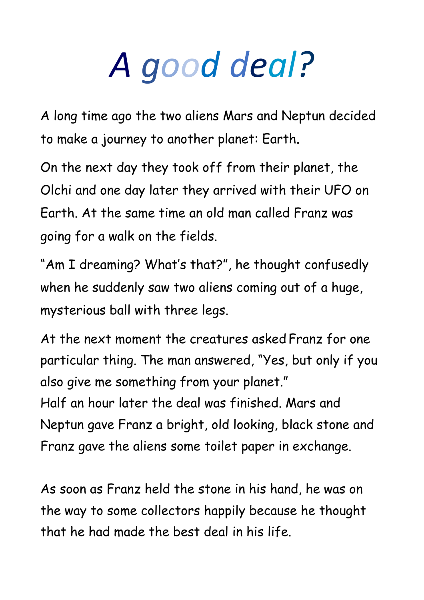## *A good deal?*

A long time ago the two aliens Mars and Neptun decided to make a journey to another planet: Earth.

On the next day they took off from their planet, the Olchi and one day later they arrived with their UFO on Earth. At the same time an old man called Franz was going for a walk on the fields.

"Am I dreaming? What's that?", he thought confusedly when he suddenly saw two aliens coming out of a huge, mysterious ball with three legs.

At the next moment the creatures asked Franz for one particular thing. The man answered, "Yes, but only if you also give me something from your planet." Half an hour later the deal was finished. Mars and Neptun gave Franz a bright, old looking, black stone and Franz gave the aliens some toilet paper in exchange.

As soon as Franz held the stone in his hand, he was on the way to some collectors happily because he thought that he had made the best deal in his life.